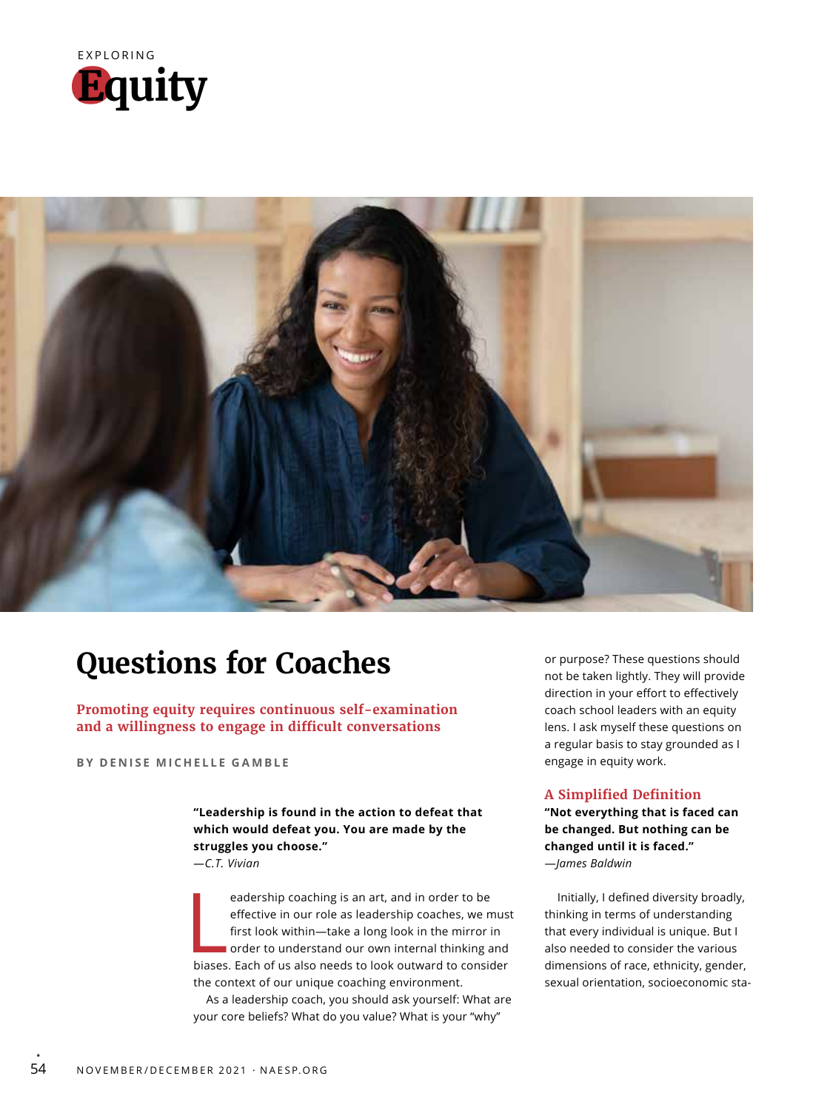



## **Questions for Coaches**

**Promoting equity requires continuous self-examination and a willingness to engage in difficult conversations**

**BY DENISE MICHELLE GAMBLE**

**"Leadership is found in the action to defeat that which would defeat you. You are made by the struggles you choose."** *—C.T. Vivian*

eadership coaching is an art, and in order to be<br>effective in our role as leadership coaches, we mus<br>first look within—take a long look in the mirror in<br>order to understand our own internal thinking and<br>biases. Each of us eadership coaching is an art, and in order to be effective in our role as leadership coaches, we must first look within—take a long look in the mirror in order to understand our own internal thinking and the context of our unique coaching environment.

As a leadership coach, you should ask yourself: What are your core beliefs? What do you value? What is your "why"

or purpose? These questions should not be taken lightly. They will provide direction in your effort to effectively coach school leaders with an equity lens. I ask myself these questions on a regular basis to stay grounded as I engage in equity work.

## **A Simplified Definition**

**"Not everything that is faced can be changed. But nothing can be changed until it is faced."** —*James Baldwin*

Initially, I defined diversity broadly, thinking in terms of understanding that every individual is unique. But I also needed to consider the various dimensions of race, ethnicity, gender, sexual orientation, socioeconomic sta-